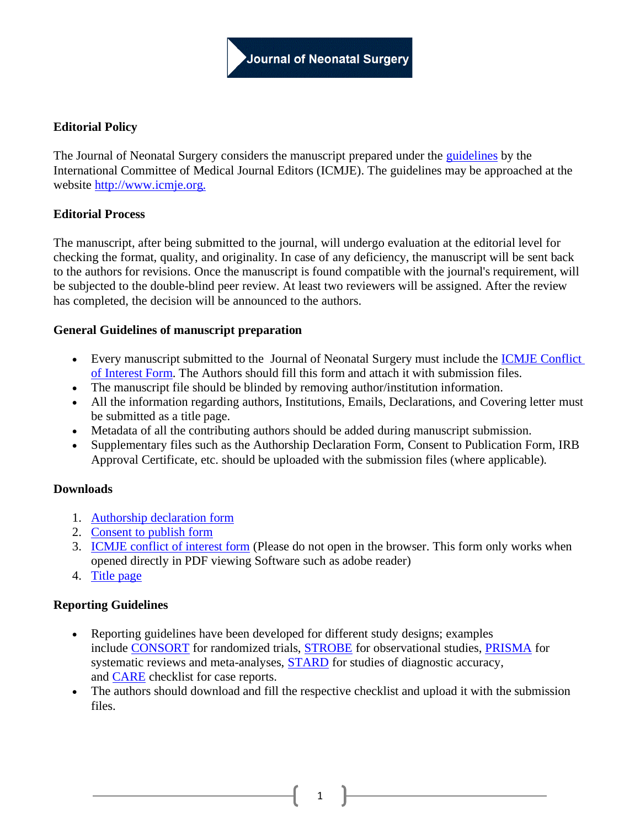# **Editorial Policy**

The Journal of Neonatal Surgery considers the manuscript prepared under the [guidelines](http://www.icmje.org/icmje-recommendations.pdf) by the International Committee of Medical Journal Editors (ICMJE). The guidelines may be approached at the website [http://www.icmje.org.](http://www.icmje.org/)

## **Editorial Process**

The manuscript, after being submitted to the journal, will undergo evaluation at the editorial level for checking the format, quality, and originality. In case of any deficiency, the manuscript will be sent back to the authors for revisions. Once the manuscript is found compatible with the journal's requirement, will be subjected to the double-blind peer review. At least two reviewers will be assigned. After the review has completed, the decision will be announced to the authors.

## **General Guidelines of manuscript preparation**

- Every manuscript submitted to the Journal of Neonatal Surgery must include the [ICMJE Conflict](http://www.icmje.org/downloads/coi_disclosure.pdf)  [of Interest Form.](http://www.icmje.org/downloads/coi_disclosure.pdf) The Authors should fill this form and attach it with submission files.
- The manuscript file should be blinded by removing author/institution information.
- All the information regarding authors, Institutions, Emails, Declarations, and Covering letter must be submitted as a title page.
- Metadata of all the contributing authors should be added during manuscript submission.
- Supplementary files such as the Authorship Declaration Form, Consent to Publication Form, IRB Approval Certificate, etc. should be uploaded with the submission files (where applicable).

## **Downloads**

- 1. [Authorship declaration form](http://www.jneonatalsurg.com/documents/authorship.pdf)
- 2. [Consent to publish form](http://www.jneonatalsurg.com/documents/consentjns.pdf)
- 3. [ICMJE conflict of interest form](http://www.jneonatalsurg.com/documents/icmje.pdf) (Please do not open in the browser. This form only works when opened directly in PDF viewing Software such as adobe reader)
- 4. [Title page](http://www.jneonatalsurg.com/documents/title.pdf)

## **Reporting Guidelines**

- Reporting guidelines have been developed for different study designs; examples include [CONSORT](http://www.consort-statement.org/) for randomized trials, [STROBE](http://strobe-statement.org/) for observational studies, [PRISMA](http://prisma-statement.org/) for systematic reviews and meta-analyses, **[STARD](http://www.equator-network.org/reporting-guidelines/stard/)** for studies of diagnostic accuracy, and [CARE](https://www.care-statement.org/s/CARE-checklist-English-2013.pdf) checklist for case reports.
- The authors should download and fill the respective checklist and upload it with the submission files.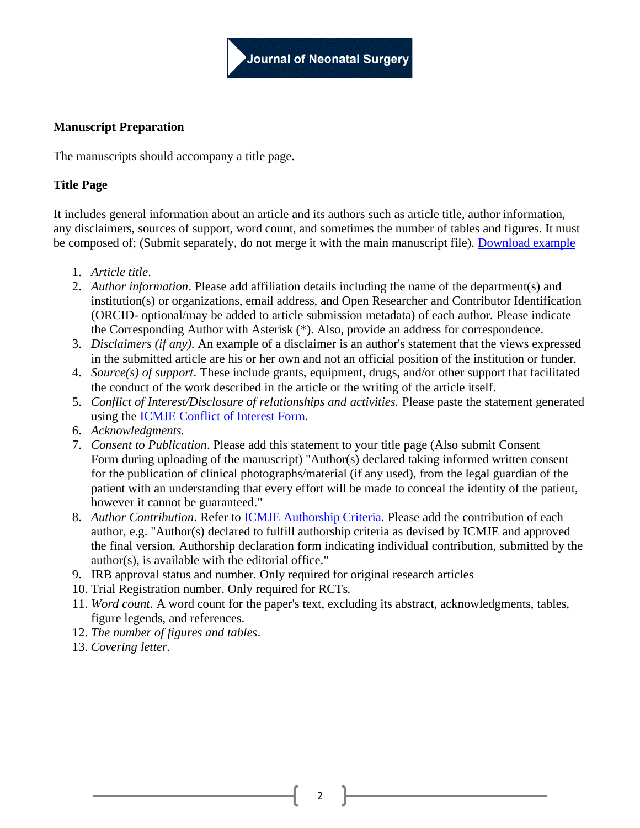# **Manuscript Preparation**

The manuscripts should accompany a title page.

# **Title Page**

It includes general information about an article and its authors such as article title, author information, any disclaimers, sources of support, word count, and sometimes the number of tables and figures. It must be composed of; (Submit separately, do not merge it with the main manuscript file). [Download example](http://jpedas.org/setup/title.docx)

- 1. *Article title*.
- 2. *Author information*. Please add affiliation details including the name of the department(s) and institution(s) or organizations, email address, and Open Researcher and Contributor Identification (ORCID- optional/may be added to article submission metadata) of each author. Please indicate the Corresponding Author with Asterisk (\*). Also, provide an address for correspondence.
- 3. *Disclaimers (if any)*. An example of a disclaimer is an author's statement that the views expressed in the submitted article are his or her own and not an official position of the institution or funder.
- 4. *Source(s) of support*. These include grants, equipment, drugs, and/or other support that facilitated the conduct of the work described in the article or the writing of the article itself.
- 5. *Conflict of Interest/Disclosure of relationships and activities.* Please paste the statement generated using the [ICMJE Conflict of Interest Form.](http://www.icmje.org/downloads/coi_disclosure.pdf)
- 6. *Acknowledgments.*
- 7. *Consent to Publication*. Please add this statement to your title page (Also submit Consent Form during uploading of the manuscript) "Author(s) declared taking informed written consent for the publication of clinical photographs/material (if any used), from the legal guardian of the patient with an understanding that every effort will be made to conceal the identity of the patient, however it cannot be guaranteed."
- 8. *Author Contribution*. Refer to [ICMJE Authorship Criteria.](http://www.icmje.org/recommendations/browse/roles-and-responsibilities/defining-the-role-of-authors-and-contributors.html#two) Please add the contribution of each author, e.g. "Author(s) declared to fulfill authorship criteria as devised by ICMJE and approved the final version. Authorship declaration form indicating individual contribution, submitted by the author(s), is available with the editorial office."
- 9. IRB approval status and number. Only required for original research articles
- 10. Trial Registration number. Only required for RCTs.
- 11. *Word count*. A word count for the paper's text, excluding its abstract, acknowledgments, tables, figure legends, and references.
- 12. *The number of figures and tables*.
- 13. *Covering letter.*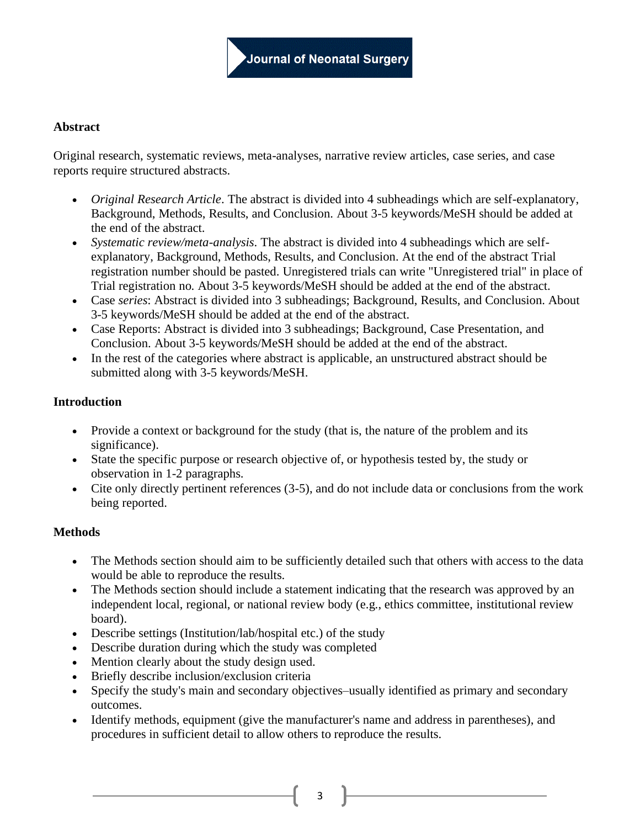## **Abstract**

Original research, systematic reviews, meta-analyses, narrative review articles, case series, and case reports require structured abstracts.

- *Original Research Article*. The abstract is divided into 4 subheadings which are self-explanatory, Background, Methods, Results, and Conclusion. About 3-5 keywords/MeSH should be added at the end of the abstract.
- *Systematic review/meta-analysis*. The abstract is divided into 4 subheadings which are selfexplanatory, Background, Methods, Results, and Conclusion. At the end of the abstract Trial registration number should be pasted. Unregistered trials can write "Unregistered trial" in place of Trial registration no. About 3-5 keywords/MeSH should be added at the end of the abstract.
- Case *series*: Abstract is divided into 3 subheadings; Background, Results, and Conclusion. About 3-5 keywords/MeSH should be added at the end of the abstract.
- Case Reports: Abstract is divided into 3 subheadings; Background, Case Presentation, and Conclusion. About 3-5 keywords/MeSH should be added at the end of the abstract.
- In the rest of the categories where abstract is applicable, an unstructured abstract should be submitted along with 3-5 keywords/MeSH.

### **Introduction**

- Provide a context or background for the study (that is, the nature of the problem and its significance).
- State the specific purpose or research objective of, or hypothesis tested by, the study or observation in 1-2 paragraphs.
- Cite only directly pertinent references (3-5), and do not include data or conclusions from the work being reported.

## **Methods**

- The Methods section should aim to be sufficiently detailed such that others with access to the data would be able to reproduce the results.
- The Methods section should include a statement indicating that the research was approved by an independent local, regional, or national review body (e.g., ethics committee, institutional review board).
- Describe settings (Institution/lab/hospital etc.) of the study
- Describe duration during which the study was completed
- Mention clearly about the study design used.
- Briefly describe inclusion/exclusion criteria
- Specify the study's main and secondary objectives–usually identified as primary and secondary outcomes.
- Identify methods, equipment (give the manufacturer's name and address in parentheses), and procedures in sufficient detail to allow others to reproduce the results.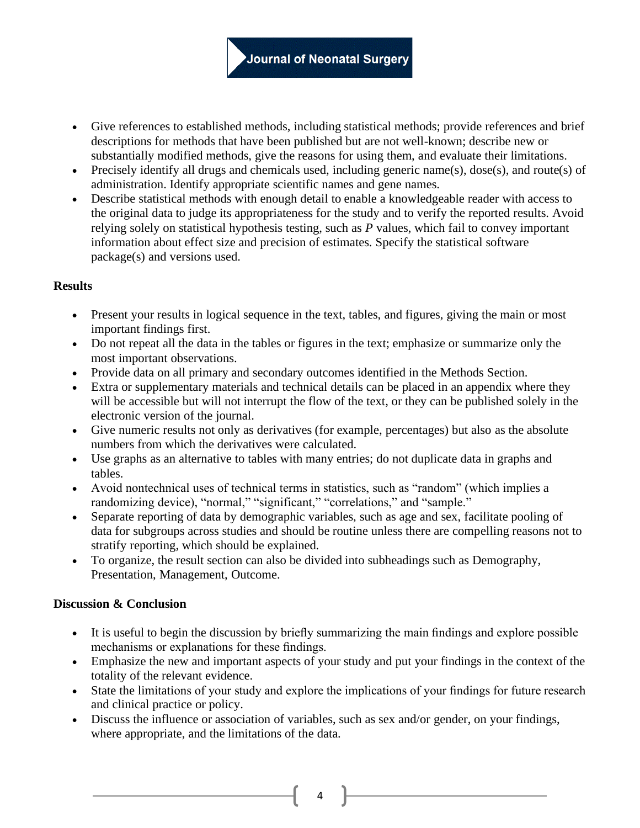- Give references to established methods, including statistical methods; provide references and brief descriptions for methods that have been published but are not well-known; describe new or substantially modified methods, give the reasons for using them, and evaluate their limitations.
- Precisely identify all drugs and chemicals used, including generic name(s), dose(s), and route(s) of administration. Identify appropriate scientific names and gene names.
- Describe statistical methods with enough detail to enable a knowledgeable reader with access to the original data to judge its appropriateness for the study and to verify the reported results. Avoid relying solely on statistical hypothesis testing, such as *P* values, which fail to convey important information about effect size and precision of estimates. Specify the statistical software package(s) and versions used.

## **Results**

- Present your results in logical sequence in the text, tables, and figures, giving the main or most important findings first.
- Do not repeat all the data in the tables or figures in the text; emphasize or summarize only the most important observations.
- Provide data on all primary and secondary outcomes identified in the Methods Section.
- Extra or supplementary materials and technical details can be placed in an appendix where they will be accessible but will not interrupt the flow of the text, or they can be published solely in the electronic version of the journal.
- Give numeric results not only as derivatives (for example, percentages) but also as the absolute numbers from which the derivatives were calculated.
- Use graphs as an alternative to tables with many entries; do not duplicate data in graphs and tables.
- Avoid nontechnical uses of technical terms in statistics, such as "random" (which implies a randomizing device), "normal," "significant," "correlations," and "sample."
- Separate reporting of data by demographic variables, such as age and sex, facilitate pooling of data for subgroups across studies and should be routine unless there are compelling reasons not to stratify reporting, which should be explained.
- To organize, the result section can also be divided into subheadings such as Demography, Presentation, Management, Outcome.

## **Discussion & Conclusion**

- It is useful to begin the discussion by briefly summarizing the main findings and explore possible mechanisms or explanations for these findings.
- Emphasize the new and important aspects of your study and put your findings in the context of the totality of the relevant evidence.
- State the limitations of your study and explore the implications of your findings for future research and clinical practice or policy.
- Discuss the influence or association of variables, such as sex and/or gender, on your findings, where appropriate, and the limitations of the data.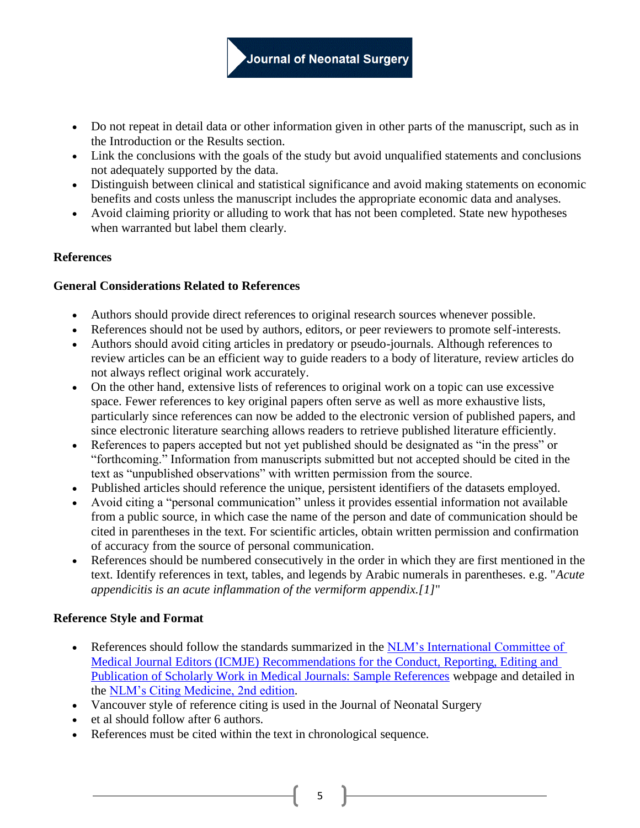- Do not repeat in detail data or other information given in other parts of the manuscript, such as in the Introduction or the Results section.
- Link the conclusions with the goals of the study but avoid unqualified statements and conclusions not adequately supported by the data.
- Distinguish between clinical and statistical significance and avoid making statements on economic benefits and costs unless the manuscript includes the appropriate economic data and analyses.
- Avoid claiming priority or alluding to work that has not been completed. State new hypotheses when warranted but label them clearly.

## **References**

### **General Considerations Related to References**

- Authors should provide direct references to original research sources whenever possible.
- References should not be used by authors, editors, or peer reviewers to promote self-interests.
- Authors should avoid citing articles in predatory or pseudo-journals. Although references to review articles can be an efficient way to guide readers to a body of literature, review articles do not always reflect original work accurately.
- On the other hand, extensive lists of references to original work on a topic can use excessive space. Fewer references to key original papers often serve as well as more exhaustive lists, particularly since references can now be added to the electronic version of published papers, and since electronic literature searching allows readers to retrieve published literature efficiently.
- References to papers accepted but not yet published should be designated as "in the press" or "forthcoming." Information from manuscripts submitted but not accepted should be cited in the text as "unpublished observations" with written permission from the source.
- Published articles should reference the unique, persistent identifiers of the datasets employed.
- Avoid citing a "personal communication" unless it provides essential information not available from a public source, in which case the name of the person and date of communication should be cited in parentheses in the text. For scientific articles, obtain written permission and confirmation of accuracy from the source of personal communication.
- References should be numbered consecutively in the order in which they are first mentioned in the text. Identify references in text, tables, and legends by Arabic numerals in parentheses. e.g. "*Acute appendicitis is an acute inflammation of the vermiform appendix.[1]*"

## **Reference Style and Format**

- References should follow the standards summarized in the NLM's International Committee of [Medical Journal Editors \(ICMJE\) Recommendations for the Conduct, Reporting, Editing and](https://www.nlm.nih.gov/bsd/uniform_requirements.html)  [Publication of Scholarly Work in Medical Journals: Sample References](https://www.nlm.nih.gov/bsd/uniform_requirements.html) webpage and detailed in the [NLM's Citing Medicine, 2nd edition.](https://www.ncbi.nlm.nih.gov/books/NBK7256/)
- Vancouver style of reference citing is used in the Journal of Neonatal Surgery
- et al should follow after 6 authors.
- References must be cited within the text in chronological sequence.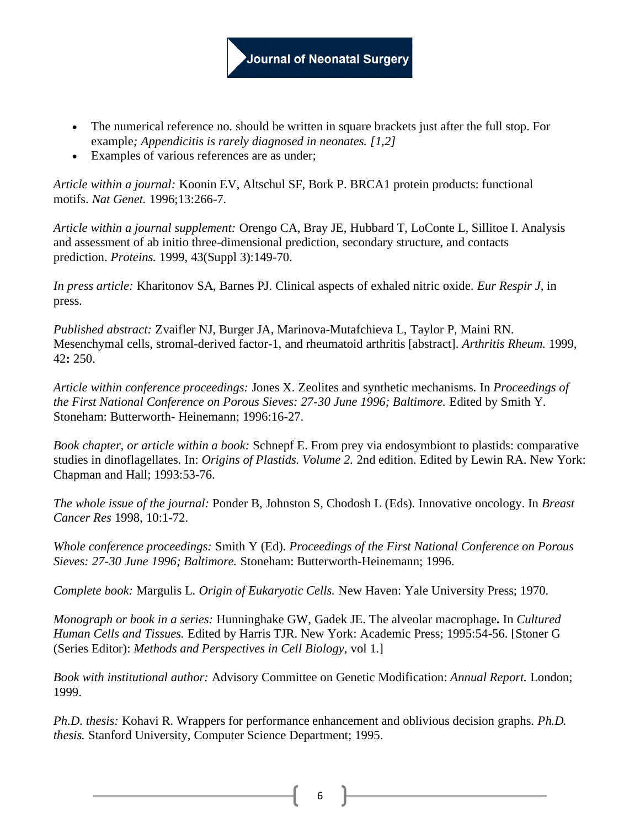- The numerical reference no. should be written in square brackets just after the full stop. For example*; Appendicitis is rarely diagnosed in neonates. [1,2]*
- Examples of various references are as under;

*Article within a journal:* Koonin EV, Altschul SF, Bork P. BRCA1 protein products: functional motifs. *Nat Genet.* 1996;13:266-7.

*Article within a journal supplement:* Orengo CA, Bray JE, Hubbard T, LoConte L, Sillitoe I. Analysis and assessment of ab initio three-dimensional prediction, secondary structure, and contacts prediction. *Proteins.* 1999, 43(Suppl 3):149-70.

*In press article:* Kharitonov SA, Barnes PJ. Clinical aspects of exhaled nitric oxide. *Eur Respir J*, in press.

*Published abstract:* Zvaifler NJ, Burger JA, Marinova-Mutafchieva L, Taylor P, Maini RN. Mesenchymal cells, stromal-derived factor-1, and rheumatoid arthritis [abstract]. *Arthritis Rheum.* 1999, 42**:** 250.

*Article within conference proceedings:* Jones X. Zeolites and synthetic mechanisms. In *Proceedings of the First National Conference on Porous Sieves: 27-30 June 1996; Baltimore.* Edited by Smith Y. Stoneham: Butterworth- Heinemann; 1996:16-27.

*Book chapter, or article within a book:* Schnepf E. From prey via endosymbiont to plastids: comparative studies in dinoflagellates. In: *Origins of Plastids. Volume 2.* 2nd edition. Edited by Lewin RA. New York: Chapman and Hall; 1993:53-76.

*The whole issue of the journal:* Ponder B, Johnston S, Chodosh L (Eds). Innovative oncology. In *Breast Cancer Res* 1998, 10:1-72.

*Whole conference proceedings:* Smith Y (Ed). *Proceedings of the First National Conference on Porous Sieves: 27-30 June 1996; Baltimore.* Stoneham: Butterworth-Heinemann; 1996.

*Complete book:* Margulis L. *Origin of Eukaryotic Cells.* New Haven: Yale University Press; 1970.

*Monograph or book in a series:* Hunninghake GW, Gadek JE. The alveolar macrophage**.** In *Cultured Human Cells and Tissues.* Edited by Harris TJR. New York: Academic Press; 1995:54-56. [Stoner G (Series Editor): *Methods and Perspectives in Cell Biology,* vol 1.]

*Book with institutional author:* Advisory Committee on Genetic Modification: *Annual Report.* London; 1999.

*Ph.D. thesis:* Kohavi R. Wrappers for performance enhancement and oblivious decision graphs. *Ph.D. thesis.* Stanford University, Computer Science Department; 1995.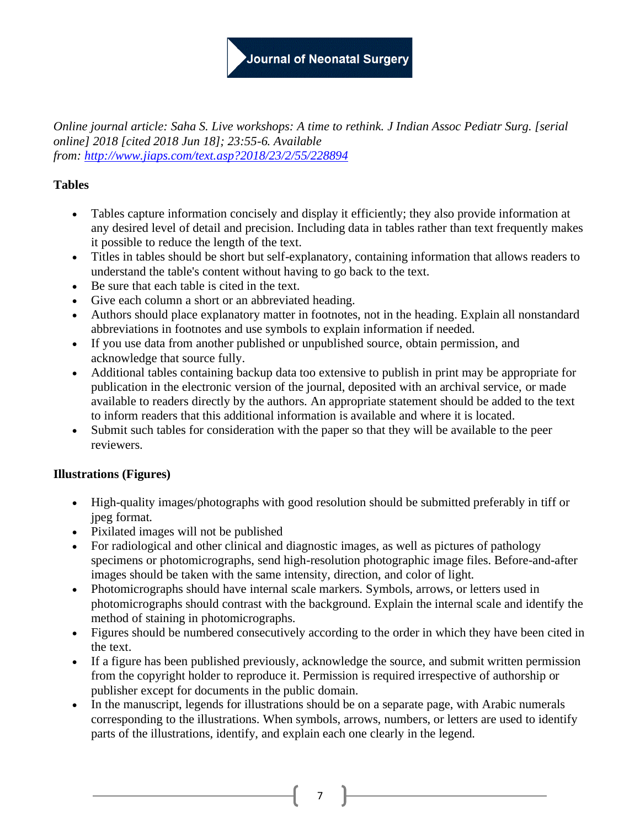# Journal of Neonatal Surgery

*Online journal article: Saha S. Live workshops: A time to rethink. J Indian Assoc Pediatr Surg. [serial online] 2018 [cited 2018 Jun 18]; 23:55-6. Available from: <http://www.jiaps.com/text.asp?2018/23/2/55/228894>*

# **Tables**

- Tables capture information concisely and display it efficiently; they also provide information at any desired level of detail and precision. Including data in tables rather than text frequently makes it possible to reduce the length of the text.
- Titles in tables should be short but self-explanatory, containing information that allows readers to understand the table's content without having to go back to the text.
- Be sure that each table is cited in the text.
- Give each column a short or an abbreviated heading.
- Authors should place explanatory matter in footnotes, not in the heading. Explain all nonstandard abbreviations in footnotes and use symbols to explain information if needed.
- If you use data from another published or unpublished source, obtain permission, and acknowledge that source fully.
- Additional tables containing backup data too extensive to publish in print may be appropriate for publication in the electronic version of the journal, deposited with an archival service, or made available to readers directly by the authors. An appropriate statement should be added to the text to inform readers that this additional information is available and where it is located.
- Submit such tables for consideration with the paper so that they will be available to the peer reviewers.

# **Illustrations (Figures)**

- High-quality images/photographs with good resolution should be submitted preferably in tiff or jpeg format.
- Pixilated images will not be published
- For radiological and other clinical and diagnostic images, as well as pictures of pathology specimens or photomicrographs, send high-resolution photographic image files. Before-and-after images should be taken with the same intensity, direction, and color of light.
- Photomicrographs should have internal scale markers. Symbols, arrows, or letters used in photomicrographs should contrast with the background. Explain the internal scale and identify the method of staining in photomicrographs.
- Figures should be numbered consecutively according to the order in which they have been cited in the text.
- If a figure has been published previously, acknowledge the source, and submit written permission from the copyright holder to reproduce it. Permission is required irrespective of authorship or publisher except for documents in the public domain.
- In the manuscript, legends for illustrations should be on a separate page, with Arabic numerals corresponding to the illustrations. When symbols, arrows, numbers, or letters are used to identify parts of the illustrations, identify, and explain each one clearly in the legend.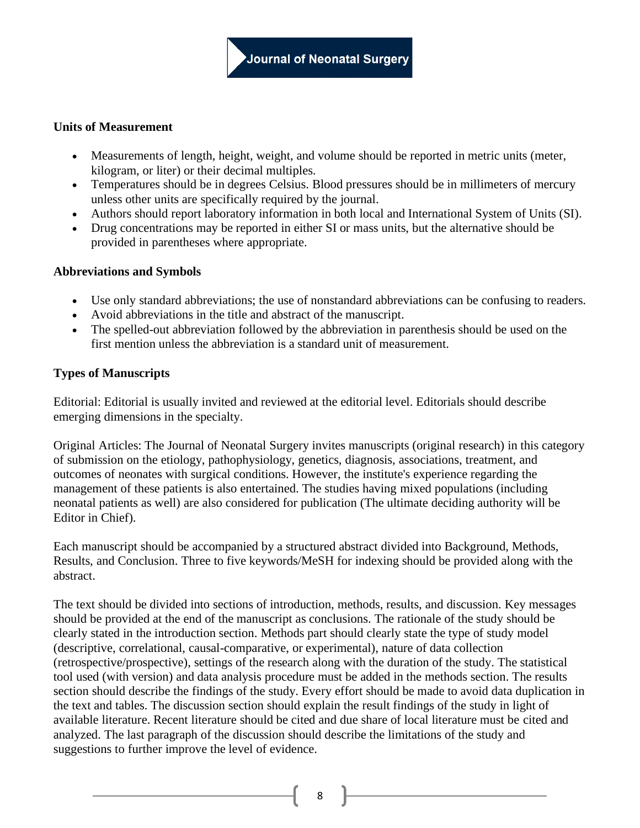## **Units of Measurement**

- Measurements of length, height, weight, and volume should be reported in metric units (meter, kilogram, or liter) or their decimal multiples.
- Temperatures should be in degrees Celsius. Blood pressures should be in millimeters of mercury unless other units are specifically required by the journal.
- Authors should report laboratory information in both local and International System of Units (SI).
- Drug concentrations may be reported in either SI or mass units, but the alternative should be provided in parentheses where appropriate.

## **Abbreviations and Symbols**

- Use only standard abbreviations; the use of nonstandard abbreviations can be confusing to readers.
- Avoid abbreviations in the title and abstract of the manuscript.
- The spelled-out abbreviation followed by the abbreviation in parenthesis should be used on the first mention unless the abbreviation is a standard unit of measurement.

## **Types of Manuscripts**

Editorial: Editorial is usually invited and reviewed at the editorial level. Editorials should describe emerging dimensions in the specialty.

Original Articles: The Journal of Neonatal Surgery invites manuscripts (original research) in this category of submission on the etiology, pathophysiology, genetics, diagnosis, associations, treatment, and outcomes of neonates with surgical conditions. However, the institute's experience regarding the management of these patients is also entertained. The studies having mixed populations (including neonatal patients as well) are also considered for publication (The ultimate deciding authority will be Editor in Chief).

Each manuscript should be accompanied by a structured abstract divided into Background, Methods, Results, and Conclusion. Three to five keywords/MeSH for indexing should be provided along with the abstract.

The text should be divided into sections of introduction, methods, results, and discussion. Key messages should be provided at the end of the manuscript as conclusions. The rationale of the study should be clearly stated in the introduction section. Methods part should clearly state the type of study model (descriptive, correlational, causal-comparative, or experimental), nature of data collection (retrospective/prospective), settings of the research along with the duration of the study. The statistical tool used (with version) and data analysis procedure must be added in the methods section. The results section should describe the findings of the study. Every effort should be made to avoid data duplication in the text and tables. The discussion section should explain the result findings of the study in light of available literature. Recent literature should be cited and due share of local literature must be cited and analyzed. The last paragraph of the discussion should describe the limitations of the study and suggestions to further improve the level of evidence.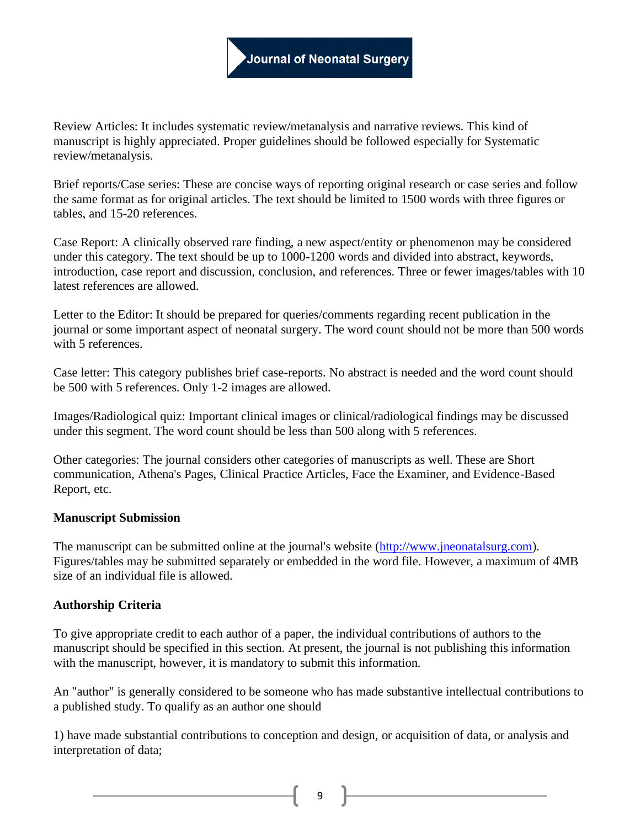Review Articles: It includes systematic review/metanalysis and narrative reviews. This kind of manuscript is highly appreciated. Proper guidelines should be followed especially for Systematic review/metanalysis.

Brief reports/Case series: These are concise ways of reporting original research or case series and follow the same format as for original articles. The text should be limited to 1500 words with three figures or tables, and 15-20 references.

Case Report: A clinically observed rare finding, a new aspect/entity or phenomenon may be considered under this category. The text should be up to 1000-1200 words and divided into abstract, keywords, introduction, case report and discussion, conclusion, and references. Three or fewer images/tables with 10 latest references are allowed.

Letter to the Editor: It should be prepared for queries/comments regarding recent publication in the journal or some important aspect of neonatal surgery. The word count should not be more than 500 words with 5 references.

Case letter: This category publishes brief case-reports. No abstract is needed and the word count should be 500 with 5 references. Only 1-2 images are allowed.

Images/Radiological quiz: Important clinical images or clinical/radiological findings may be discussed under this segment. The word count should be less than 500 along with 5 references.

Other categories: The journal considers other categories of manuscripts as well. These are Short communication, Athena's Pages, Clinical Practice Articles, Face the Examiner, and Evidence-Based Report, etc.

### **Manuscript Submission**

The manuscript can be submitted online at the journal's website [\(http://www.jneonatalsurg.com\)](http://www.jneonatalsurg.com/). Figures/tables may be submitted separately or embedded in the word file. However, a maximum of 4MB size of an individual file is allowed.

### **Authorship Criteria**

To give appropriate credit to each author of a paper, the individual contributions of authors to the manuscript should be specified in this section. At present, the journal is not publishing this information with the manuscript, however, it is mandatory to submit this information.

An "author" is generally considered to be someone who has made substantive intellectual contributions to a published study. To qualify as an author one should

1) have made substantial contributions to conception and design, or acquisition of data, or analysis and interpretation of data;